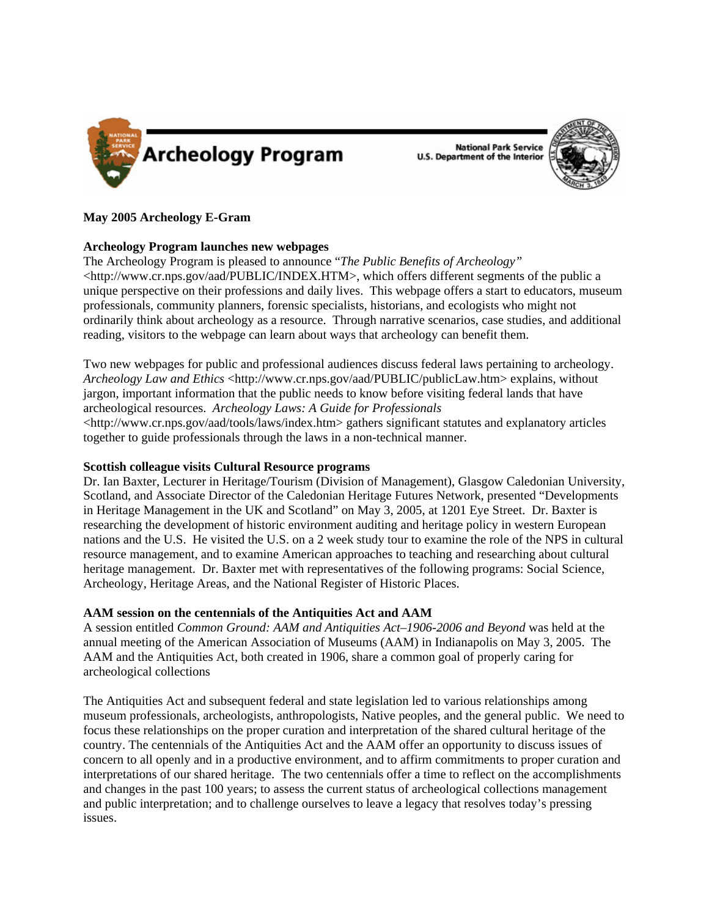

**National Park Service U.S. Department of the Interior** 



### **May 2005 Archeology E-Gram**

### **Archeology Program launches new webpages**

The Archeology Program is pleased to announce "*The Public Benefits of Archeology"* <http://www.cr.nps.gov/aad/PUBLIC/INDEX.HTM>, which offers different segments of the public a unique perspective on their professions and daily lives. This webpage offers a start to educators, museum professionals, community planners, forensic specialists, historians, and ecologists who might not ordinarily think about archeology as a resource. Through narrative scenarios, case studies, and additional reading, visitors to the webpage can learn about ways that archeology can benefit them.

Two new webpages for public and professional audiences discuss federal laws pertaining to archeology. *Archeology Law and Ethics* <http://www.cr.nps.gov/aad/PUBLIC/publicLaw.htm> explains, without jargon, important information that the public needs to know before visiting federal lands that have archeological resources. *Archeology Laws: A Guide for Professionals* <http://www.cr.nps.gov/aad/tools/laws/index.htm> gathers significant statutes and explanatory articles together to guide professionals through the laws in a non-technical manner.

# **Scottish colleague visits Cultural Resource programs**

Dr. Ian Baxter, Lecturer in Heritage/Tourism (Division of Management), Glasgow Caledonian University, Scotland, and Associate Director of the Caledonian Heritage Futures Network, presented "Developments in Heritage Management in the UK and Scotland" on May 3, 2005, at 1201 Eye Street. Dr. Baxter is researching the development of historic environment auditing and heritage policy in western European nations and the U.S. He visited the U.S. on a 2 week study tour to examine the role of the NPS in cultural resource management, and to examine American approaches to teaching and researching about cultural heritage management. Dr. Baxter met with representatives of the following programs: Social Science, Archeology, Heritage Areas, and the National Register of Historic Places.

# **AAM session on the centennials of the Antiquities Act and AAM**

A session entitled *Common Ground: AAM and Antiquities Act–1906-2006 and Beyond* was held at the annual meeting of the American Association of Museums (AAM) in Indianapolis on May 3, 2005. The AAM and the Antiquities Act, both created in 1906, share a common goal of properly caring for archeological collections

The Antiquities Act and subsequent federal and state legislation led to various relationships among museum professionals, archeologists, anthropologists, Native peoples, and the general public. We need to focus these relationships on the proper curation and interpretation of the shared cultural heritage of the country. The centennials of the Antiquities Act and the AAM offer an opportunity to discuss issues of concern to all openly and in a productive environment, and to affirm commitments to proper curation and interpretations of our shared heritage. The two centennials offer a time to reflect on the accomplishments and changes in the past 100 years; to assess the current status of archeological collections management and public interpretation; and to challenge ourselves to leave a legacy that resolves today's pressing issues.